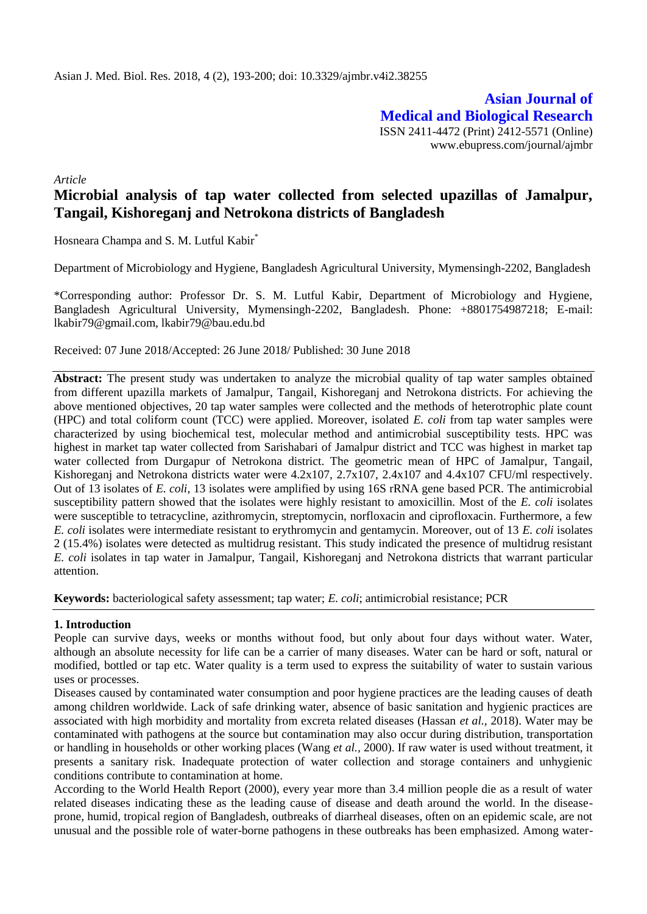**Asian Journal of Medical and Biological Research** ISSN 2411-4472 (Print) 2412-5571 (Online) www.ebupress.com/journal/ajmbr

*Article*

# **Microbial analysis of tap water collected from selected upazillas of Jamalpur, Tangail, Kishoreganj and Netrokona districts of Bangladesh**

Hosneara Champa and S. M. Lutful Kabir<sup>\*</sup>

Department of Microbiology and Hygiene, Bangladesh Agricultural University, Mymensingh-2202, Bangladesh

\*Corresponding author: Professor Dr. S. M. Lutful Kabir, Department of Microbiology and Hygiene, Bangladesh Agricultural University, Mymensingh-2202, Bangladesh. Phone: +8801754987218; E-mail: lkabir79@gmail.com, lkabir79@bau.edu.bd

Received: 07 June 2018/Accepted: 26 June 2018/ Published: 30 June 2018

Abstract: The present study was undertaken to analyze the microbial quality of tap water samples obtained from different upazilla markets of Jamalpur, Tangail, Kishoreganj and Netrokona districts. For achieving the above mentioned objectives, 20 tap water samples were collected and the methods of heterotrophic plate count (HPC) and total coliform count (TCC) were applied. Moreover, isolated *E. coli* from tap water samples were characterized by using biochemical test, molecular method and antimicrobial susceptibility tests. HPC was highest in market tap water collected from Sarishabari of Jamalpur district and TCC was highest in market tap water collected from Durgapur of Netrokona district. The geometric mean of HPC of Jamalpur, Tangail, Kishoreganj and Netrokona districts water were 4.2x107, 2.7x107, 2.4x107 and 4.4x107 CFU/ml respectively. Out of 13 isolates of *E. coli*, 13 isolates were amplified by using 16S rRNA gene based PCR. The antimicrobial susceptibility pattern showed that the isolates were highly resistant to amoxicillin. Most of the *E. coli* isolates were susceptible to tetracycline, azithromycin, streptomycin, norfloxacin and ciprofloxacin. Furthermore, a few *E. coli* isolates were intermediate resistant to erythromycin and gentamycin. Moreover, out of 13 *E. coli* isolates 2 (15.4%) isolates were detected as multidrug resistant. This study indicated the presence of multidrug resistant *E. coli* isolates in tap water in Jamalpur, Tangail, Kishoreganj and Netrokona districts that warrant particular attention.

**Keywords:** bacteriological safety assessment; tap water; *E. coli*; antimicrobial resistance; PCR

## **1. Introduction**

People can survive days, weeks or months without food, but only about four days without water. Water, although an absolute necessity for life can be a carrier of many diseases. Water can be hard or soft, natural or modified, bottled or tap etc. Water quality is a term used to express the suitability of water to sustain various uses or processes.

Diseases caused by contaminated water consumption and poor hygiene practices are the leading causes of death among children worldwide. Lack of safe drinking water, absence of basic sanitation and hygienic practices are associated with high morbidity and mortality from excreta related diseases (Hassan *et al.,* 2018). Water may be contaminated with pathogens at the source but contamination may also occur during distribution, transportation or handling in households or other working places (Wang *et al.,* 2000). If raw water is used without treatment, it presents a sanitary risk. Inadequate protection of water collection and storage containers and unhygienic conditions contribute to contamination at home.

According to the World Health Report (2000), every year more than 3.4 million people die as a result of water related diseases indicating these as the leading cause of disease and death around the world. In the diseaseprone, humid, tropical region of Bangladesh, outbreaks of diarrheal diseases, often on an epidemic scale, are not unusual and the possible role of water-borne pathogens in these outbreaks has been emphasized. Among water-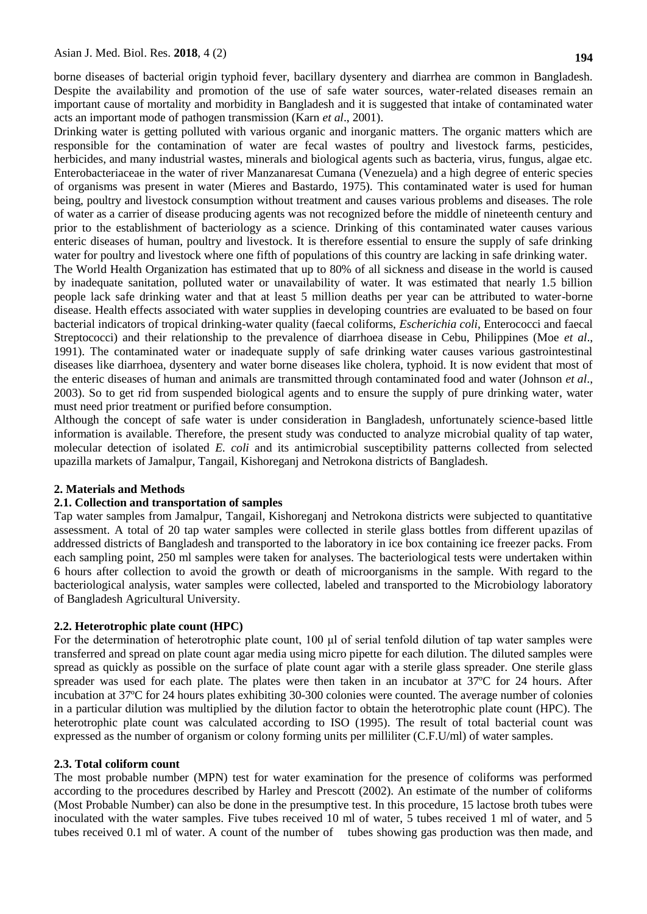borne diseases of bacterial origin typhoid fever, bacillary dysentery and diarrhea are common in Bangladesh. Despite the availability and promotion of the use of safe water sources, water-related diseases remain an important cause of mortality and morbidity in Bangladesh and it is suggested that intake of contaminated water acts an important mode of pathogen transmission (Karn *et al*., 2001).

Drinking water is getting polluted with various organic and inorganic matters. The organic matters which are responsible for the contamination of water are fecal wastes of poultry and livestock farms, pesticides, herbicides, and many industrial wastes, minerals and biological agents such as bacteria, virus, fungus, algae etc. Enterobacteriaceae in the water of river Manzanaresat Cumana (Venezuela) and a high degree of enteric species of organisms was present in water (Mieres and Bastardo, 1975). This contaminated water is used for human being, poultry and livestock consumption without treatment and causes various problems and diseases. The role of water as a carrier of disease producing agents was not recognized before the middle of nineteenth century and prior to the establishment of bacteriology as a science. Drinking of this contaminated water causes various enteric diseases of human, poultry and livestock. It is therefore essential to ensure the supply of safe drinking water for poultry and livestock where one fifth of populations of this country are lacking in safe drinking water. The World Health Organization has estimated that up to 80% of all sickness and disease in the world is caused by inadequate sanitation, polluted water or unavailability of water. It was estimated that nearly 1.5 billion people lack safe drinking water and that at least 5 million deaths per year can be attributed to water-borne disease. Health effects associated with water supplies in developing countries are evaluated to be based on four bacterial indicators of tropical drinking-water quality (faecal coliforms, *Escherichia coli*, Enterococci and faecal Streptococci) and their relationship to the prevalence of diarrhoea disease in Cebu, Philippines (Moe *et al*., 1991). The contaminated water or inadequate supply of safe drinking water causes various gastrointestinal diseases like diarrhoea, dysentery and water borne diseases like cholera, typhoid. It is now evident that most of the enteric diseases of human and animals are transmitted through contaminated food and water (Johnson *et al*., 2003). So to get rid from suspended biological agents and to ensure the supply of pure drinking water, water must need prior treatment or purified before consumption.

Although the concept of safe water is under consideration in Bangladesh, unfortunately science-based little information is available. Therefore, the present study was conducted to analyze microbial quality of tap water, molecular detection of isolated *E. coli* and its antimicrobial susceptibility patterns collected from selected upazilla markets of Jamalpur, Tangail, Kishoreganj and Netrokona districts of Bangladesh.

#### **2. Materials and Methods**

#### **2.1. Collection and transportation of samples**

Tap water samples from Jamalpur, Tangail, Kishoreganj and Netrokona districts were subjected to quantitative assessment. A total of 20 tap water samples were collected in sterile glass bottles from different upazilas of addressed districts of Bangladesh and transported to the laboratory in ice box containing ice freezer packs. From each sampling point, 250 ml samples were taken for analyses. The bacteriological tests were undertaken within 6 hours after collection to avoid the growth or death of microorganisms in the sample. With regard to the bacteriological analysis, water samples were collected, labeled and transported to the Microbiology laboratory of Bangladesh Agricultural University.

#### **2.2. Heterotrophic plate count (HPC)**

For the determination of heterotrophic plate count, 100 μl of serial tenfold dilution of tap water samples were transferred and spread on plate count agar media using micro pipette for each dilution. The diluted samples were spread as quickly as possible on the surface of plate count agar with a sterile glass spreader. One sterile glass spreader was used for each plate. The plates were then taken in an incubator at 37ºC for 24 hours. After incubation at 37ºC for 24 hours plates exhibiting 30-300 colonies were counted. The average number of colonies in a particular dilution was multiplied by the dilution factor to obtain the heterotrophic plate count (HPC). The heterotrophic plate count was calculated according to ISO (1995). The result of total bacterial count was expressed as the number of organism or colony forming units per milliliter (C.F.U/ml) of water samples.

#### **2.3. Total coliform count**

The most probable number (MPN) test for water examination for the presence of coliforms was performed according to the procedures described by Harley and Prescott (2002). An estimate of the number of coliforms (Most Probable Number) can also be done in the presumptive test. In this procedure, 15 lactose broth tubes were inoculated with the water samples. Five tubes received 10 ml of water, 5 tubes received 1 ml of water, and 5 tubes received 0.1 ml of water. A count of the number of tubes showing gas production was then made, and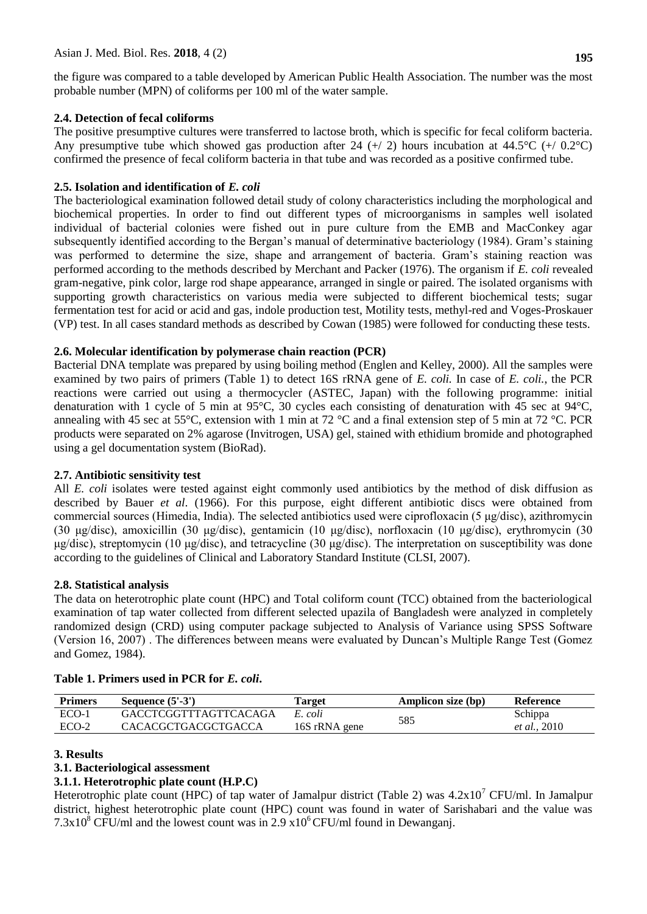the figure was compared to a table developed by American Public Health Association. The number was the most probable number (MPN) of coliforms per 100 ml of the water sample.

# **2.4. Detection of fecal coliforms**

The positive presumptive cultures were transferred to lactose broth, which is specific for fecal coliform bacteria. Any presumptive tube which showed gas production after 24  $(+/2)$  hours incubation at 44.5°C  $(+/0.2^{\circ}C)$ confirmed the presence of fecal coliform bacteria in that tube and was recorded as a positive confirmed tube.

## **2.5. Isolation and identification of** *E. coli*

The bacteriological examination followed detail study of colony characteristics including the morphological and biochemical properties. In order to find out different types of microorganisms in samples well isolated individual of bacterial colonies were fished out in pure culture from the EMB and MacConkey agar subsequently identified according to the Bergan's manual of determinative bacteriology (1984). Gram's staining was performed to determine the size, shape and arrangement of bacteria. Gram's staining reaction was performed according to the methods described by Merchant and Packer (1976). The organism if *E. coli* revealed gram-negative, pink color, large rod shape appearance, arranged in single or paired. The isolated organisms with supporting growth characteristics on various media were subjected to different biochemical tests; sugar fermentation test for acid or acid and gas, indole production test, Motility tests, methyl-red and Voges-Proskauer (VP) test. In all cases standard methods as described by Cowan (1985) were followed for conducting these tests.

## **2.6. Molecular identification by polymerase chain reaction (PCR)**

Bacterial DNA template was prepared by using boiling method (Englen and Kelley, 2000). All the samples were examined by two pairs of primers (Table 1) to detect 16S rRNA gene of *E. coli.* In case of *E. coli.*, the PCR reactions were carried out using a thermocycler (ASTEC, Japan) with the following programme: initial denaturation with 1 cycle of 5 min at 95°C, 30 cycles each consisting of denaturation with 45 sec at 94°C, annealing with 45 sec at 55 $^{\circ}$ C, extension with 1 min at 72  $^{\circ}$ C and a final extension step of 5 min at 72  $^{\circ}$ C. PCR products were separated on 2% agarose (Invitrogen, USA) gel, stained with ethidium bromide and photographed using a gel documentation system (BioRad).

## **2.7. Antibiotic sensitivity test**

All *E. coli* isolates were tested against eight commonly used antibiotics by the method of disk diffusion as described by Bauer *et al*. (1966). For this purpose, eight different antibiotic discs were obtained from commercial sources (Himedia, India). The selected antibiotics used were ciprofloxacin (5 μg/disc), azithromycin (30 μg/disc), amoxicillin (30 μg/disc), gentamicin (10 μg/disc), norfloxacin (10 μg/disc), erythromycin (30 μg/disc), streptomycin (10 μg/disc), and tetracycline (30 μg/disc). The interpretation on susceptibility was done according to the guidelines of Clinical and Laboratory Standard Institute (CLSI, 2007).

## **2.8. Statistical analysis**

The data on heterotrophic plate count (HPC) and Total coliform count (TCC) obtained from the bacteriological examination of tap water collected from different selected upazila of Bangladesh were analyzed in completely randomized design (CRD) using computer package subjected to Analysis of Variance using SPSS Software (Version 16, 2007) . The differences between means were evaluated by Duncan's Multiple Range Test (Gomez and Gomez, 1984).

| <b>Primers</b> | Sequence $(5'-3')$           | Farget        | Amplicon size (bp) | Reference            |
|----------------|------------------------------|---------------|--------------------|----------------------|
| ECO-1          | <b>GACCTCGGTTTAGTTCACAGA</b> | E. coli       | 585                | Schippa              |
| $ECO-2$        | <b>CACACGCTGACGCTGACCA</b>   | 16S rRNA gene |                    | <i>et al.</i> , 2010 |

# **Table 1. Primers used in PCR for** *E. coli***.**

## **3. Results**

# **3.1. Bacteriological assessment**

# **3.1.1. Heterotrophic plate count (H.P.C)**

Heterotrophic plate count (HPC) of tap water of Jamalpur district (Table 2) was  $4.2x10<sup>7</sup>$  CFU/ml. In Jamalpur district, highest heterotrophic plate count (HPC) count was found in water of Sarishabari and the value was  $7.3x10^8$  CFU/ml and the lowest count was in 2.9 x10<sup>6</sup> CFU/ml found in Dewanganj.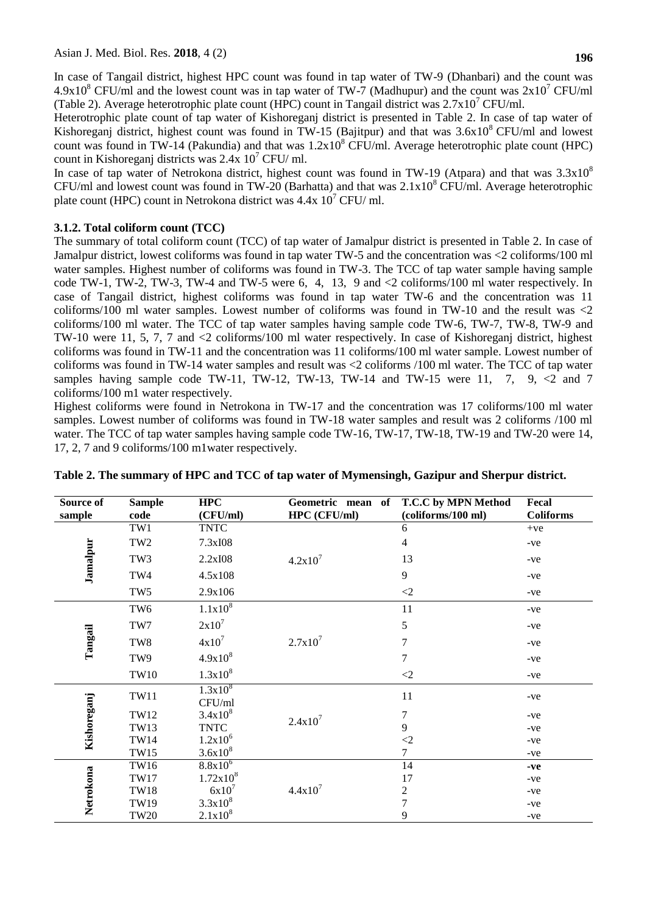In case of Tangail district, highest HPC count was found in tap water of TW-9 (Dhanbari) and the count was 4.9x10<sup>8</sup> CFU/ml and the lowest count was in tap water of TW-7 (Madhupur) and the count was  $2x10^7$  CFU/ml (Table 2). Average heterotrophic plate count (HPC) count in Tangail district was  $2.7 \times 10^{7}$  CFU/ml.

Heterotrophic plate count of tap water of Kishoreganj district is presented in Table 2. In case of tap water of Kishoreganj district, highest count was found in TW-15 (Bajitpur) and that was  $3.6x10^8$  CFU/ml and lowest count was found in TW-14 (Pakundia) and that was  $1.2x10^8$  CFU/ml. Average heterotrophic plate count (HPC) count in Kishoreganj districts was  $2.4x\ 10^7$  CFU/ ml.

In case of tap water of Netrokona district, highest count was found in TW-19 (Atpara) and that was  $3.3x10^8$ CFU/ml and lowest count was found in TW-20 (Barhatta) and that was  $2.1x10<sup>8</sup>$  CFU/ml. Average heterotrophic plate count (HPC) count in Netrokona district was  $4.4x\ 10^7$  CFU/ ml.

# **3.1.2. Total coliform count (TCC)**

The summary of total coliform count (TCC) of tap water of Jamalpur district is presented in Table 2. In case of Jamalpur district, lowest coliforms was found in tap water TW-5 and the concentration was <2 coliforms/100 ml water samples. Highest number of coliforms was found in TW-3. The TCC of tap water sample having sample code TW-1, TW-2, TW-3, TW-4 and TW-5 were 6, 4, 13, 9 and <2 coliforms/100 ml water respectively. In case of Tangail district, highest coliforms was found in tap water TW-6 and the concentration was 11 coliforms/100 ml water samples. Lowest number of coliforms was found in TW-10 and the result was <2 coliforms/100 ml water. The TCC of tap water samples having sample code TW-6, TW-7, TW-8, TW-9 and TW-10 were 11, 5, 7, 7 and <2 coliforms/100 ml water respectively. In case of Kishoreganj district, highest coliforms was found in TW-11 and the concentration was 11 coliforms/100 ml water sample. Lowest number of coliforms was found in TW-14 water samples and result was <2 coliforms /100 ml water. The TCC of tap water samples having sample code TW-11, TW-12, TW-13, TW-14 and TW-15 were 11, 7, 9,  $\lt 2$  and 7 coliforms/100 m1 water respectively.

Highest coliforms were found in Netrokona in TW-17 and the concentration was 17 coliforms/100 ml water samples. Lowest number of coliforms was found in TW-18 water samples and result was 2 coliforms /100 ml water. The TCC of tap water samples having sample code TW-16, TW-17, TW-18, TW-19 and TW-20 were 14, 17, 2, 7 and 9 coliforms/100 m1water respectively.

| Source of<br>sample | <b>Sample</b><br>code | <b>HPC</b><br>(CFU/ml) | Geometric mean of<br>HPC (CFU/ml) | T.C.C by MPN Method<br>(coliforms/100 ml) | Fecal<br><b>Coliforms</b> |
|---------------------|-----------------------|------------------------|-----------------------------------|-------------------------------------------|---------------------------|
|                     | TW1                   | <b>TNTC</b>            |                                   | 6                                         | $+ve$                     |
|                     | TW <sub>2</sub>       | 7.3xI08                |                                   | 4                                         | $-ve$                     |
| Jamalpur            | TW3                   | 2.2xI08                | $4.2x10^7$                        | 13                                        | $-ve$                     |
|                     | TW4                   | 4.5x108                |                                   | 9                                         | $-ve$                     |
|                     | TW <sub>5</sub>       | 2.9x106                |                                   | $\langle 2 \rangle$                       | $-ve$                     |
|                     | TW <sub>6</sub>       | $1.1x10^{8}$           |                                   | 11                                        | $-ve$                     |
|                     | TW7                   | $2x10^7$               |                                   | 5                                         | $-ve$                     |
| Tangail             | TW8                   | $4x10^7$               | $2.7x10^7$                        | 7                                         | -ve                       |
|                     | TW9                   | $4.9x10^{8}$           |                                   | $\overline{7}$                            | $-ve$                     |
|                     | <b>TW10</b>           | $1.3x10^{8}$           |                                   | $\langle 2$                               | $-ve$                     |
| Kishoreganj         | <b>TW11</b>           | $1.3x10^{8}$<br>CFU/ml |                                   | 11                                        | -ve                       |
|                     | <b>TW12</b>           | $3.4x10^{8}$           | $2.4x10^7$                        | 7                                         | $-ve$                     |
|                     | <b>TW13</b>           | <b>TNTC</b>            |                                   | 9                                         | $-ve$                     |
|                     | <b>TW14</b>           | $1.2x10^6$             |                                   | $<\!\!2$                                  | $-ve$                     |
|                     | <b>TW15</b>           | $3.6x10^{8}$           |                                   | $\overline{7}$                            | $-ve$                     |
|                     | TW16                  | $8.8x\overline{10^6}$  | $4.4x10^{7}$                      | 14                                        | $-ve$                     |
| Netrokona           | <b>TW17</b>           | $1.72x10^{8}$          |                                   | 17                                        | $-ve$                     |
|                     | <b>TW18</b>           | $6x10^7$               |                                   | $\boldsymbol{2}$                          | $-ve$                     |
|                     | TW19                  | $3.3x10^{8}$           |                                   | $\overline{7}$                            | $-ve$                     |
|                     | <b>TW20</b>           | $2.1x10^{8}$           |                                   | 9                                         | $-ve$                     |

## **Table 2. The summary of HPC and TCC of tap water of Mymensingh, Gazipur and Sherpur district.**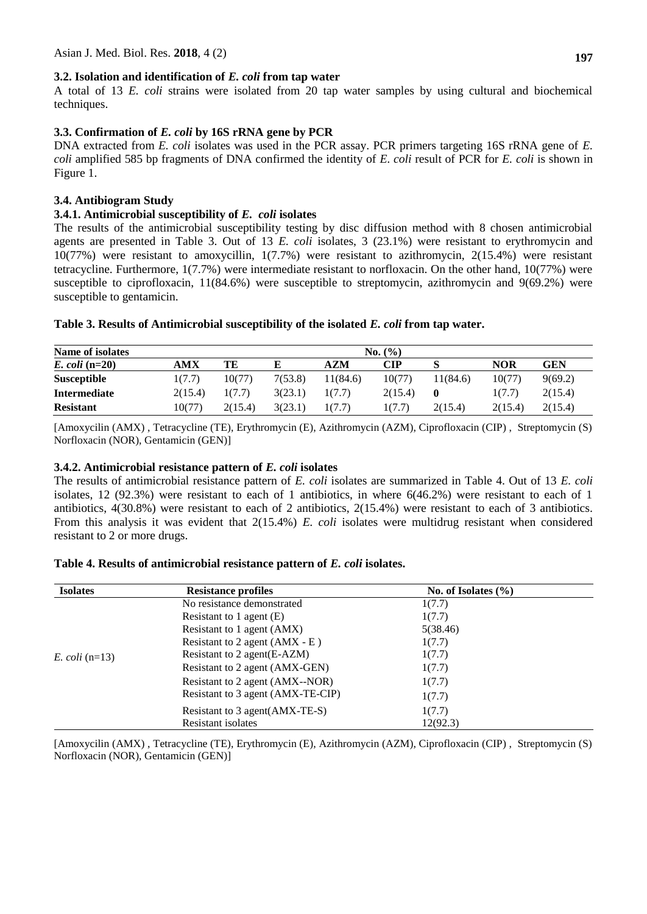## **3.2. Isolation and identification of** *E. coli* **from tap water**

A total of 13 *E. coli* strains were isolated from 20 tap water samples by using cultural and biochemical techniques.

# **3.3. Confirmation of** *E. coli* **by 16S rRNA gene by PCR**

DNA extracted from *E. coli* isolates was used in the PCR assay. PCR primers targeting 16S rRNA gene of *E. coli* amplified 585 bp fragments of DNA confirmed the identity of *E. coli* result of PCR for *E. coli* is shown in Figure 1.

## **3.4. Antibiogram Study**

## **3.4.1. Antimicrobial susceptibility of** *E. coli* **isolates**

The results of the antimicrobial susceptibility testing by disc diffusion method with 8 chosen antimicrobial agents are presented in Table 3. Out of 13 *E. coli* isolates, 3 (23.1%) were resistant to erythromycin and 10(77%) were resistant to amoxycillin, 1(7.7%) were resistant to azithromycin, 2(15.4%) were resistant tetracycline. Furthermore, 1(7.7%) were intermediate resistant to norfloxacin. On the other hand, 10(77%) were susceptible to ciprofloxacin, 11(84.6%) were susceptible to streptomycin, azithromycin and 9(69.2%) were susceptible to gentamicin.

## **Table 3. Results of Antimicrobial susceptibility of the isolated** *E. coli* **from tap water.**

| Name of isolates    |         | No. (%) |         |          |         |          |            |            |
|---------------------|---------|---------|---------|----------|---------|----------|------------|------------|
| $E.$ coli (n=20)    | AMX     | TЕ      |         | AZM      | CIP     |          | <b>NOR</b> | <b>GEN</b> |
| <b>Susceptible</b>  | 1(7.7)  | 10(77)  | 7(53.8) | 11(84.6) | 10(77)  | 11(84.6) | 10(77)     | 9(69.2)    |
| <b>Intermediate</b> | 2(15.4) | 1(7.7)  | 3(23.1) | 1(7.7)   | 2(15.4) |          | 1(7.7)     | 2(15.4)    |
| <b>Resistant</b>    | 10(77)  | 2(15.4) | 3(23.1) | 1(7.7)   | 1(7.7)  | 2(15.4)  | 2(15.4)    | 2(15.4)    |

[Amoxycilin (AMX) , Tetracycline (TE), Erythromycin (E), Azithromycin (AZM), Ciprofloxacin (CIP) , Streptomycin (S) Norfloxacin (NOR), Gentamicin (GEN)]

# **3.4.2. Antimicrobial resistance pattern of** *E. coli* **isolates**

The results of antimicrobial resistance pattern of *E. coli* isolates are summarized in Table 4. Out of 13 *E. coli*  isolates, 12 (92.3%) were resistant to each of 1 antibiotics, in where 6(46.2%) were resistant to each of 1 antibiotics, 4(30.8%) were resistant to each of 2 antibiotics, 2(15.4%) were resistant to each of 3 antibiotics. From this analysis it was evident that 2(15.4%) *E. coli* isolates were multidrug resistant when considered resistant to 2 or more drugs.

| Table 4. Results of antimicrobial resistance pattern of E. coli isolates. |  |
|---------------------------------------------------------------------------|--|
|---------------------------------------------------------------------------|--|

| <b>Isolates</b>  | <b>Resistance profiles</b>        | No. of Isolates $(\% )$ |  |
|------------------|-----------------------------------|-------------------------|--|
|                  | No resistance demonstrated        | 1(7.7)                  |  |
|                  | Resistant to 1 agent $(E)$        | 1(7.7)                  |  |
|                  | Resistant to 1 agent (AMX)        | 5(38.46)                |  |
|                  | Resistant to 2 agent $(AMX - E)$  | 1(7.7)                  |  |
| E. coli $(n=13)$ | Resistant to 2 agent (E-AZM)      | 1(7.7)                  |  |
|                  | Resistant to 2 agent (AMX-GEN)    | 1(7.7)                  |  |
|                  | Resistant to 2 agent (AMX--NOR)   | 1(7.7)                  |  |
|                  | Resistant to 3 agent (AMX-TE-CIP) | 1(7.7)                  |  |
|                  | Resistant to 3 agent (AMX-TE-S)   | 1(7.7)                  |  |
|                  | Resistant isolates                | 12(92.3)                |  |

[Amoxycilin (AMX) , Tetracycline (TE), Erythromycin (E), Azithromycin (AZM), Ciprofloxacin (CIP) , Streptomycin (S) Norfloxacin (NOR), Gentamicin (GEN)]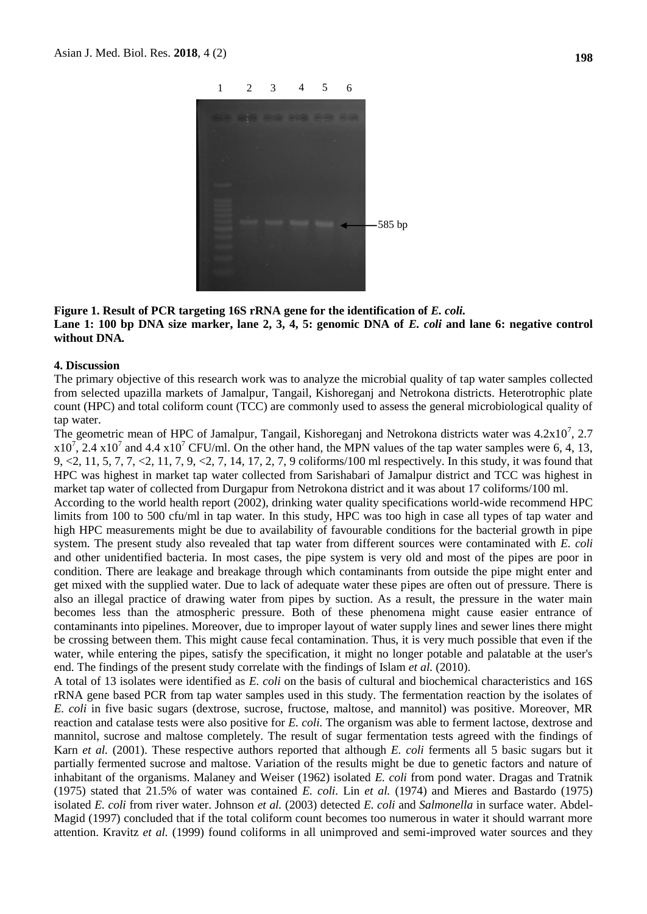

#### **Figure 1. Result of PCR targeting 16S rRNA gene for the identification of** *E. coli.*  Lane 1: 100 bp DNA size marker, lane 2, 3, 4, 5: genomic DNA of *E. coli* and lane 6: negative control

# **without DNA***.*

#### **4. Discussion**

The primary objective of this research work was to analyze the microbial quality of tap water samples collected from selected upazilla markets of Jamalpur, Tangail, Kishoreganj and Netrokona districts. Heterotrophic plate count (HPC) and total coliform count (TCC) are commonly used to assess the general microbiological quality of tap water.

The geometric mean of HPC of Jamalpur, Tangail, Kishoreganj and Netrokona districts water was  $4.2 \times 10^7$ , 2.7  $x10^7$ , 2.4  $x10^7$  and 4.4  $x10^7$  CFU/ml. On the other hand, the MPN values of the tap water samples were 6, 4, 13, 9, <2, 11, 5, 7, 7, <2, 11, 7, 9, <2, 7, 14, 17, 2, 7, 9 coliforms/100 ml respectively. In this study, it was found that HPC was highest in market tap water collected from Sarishabari of Jamalpur district and TCC was highest in market tap water of collected from Durgapur from Netrokona district and it was about 17 coliforms/100 ml.

According to the world health report (2002), drinking water quality specifications world-wide recommend HPC limits from 100 to 500 cfu/ml in tap water. In this study, HPC was too high in case all types of tap water and high HPC measurements might be due to availability of favourable conditions for the bacterial growth in pipe system. The present study also revealed that tap water from different sources were contaminated with *E. coli*  and other unidentified bacteria. In most cases, the pipe system is very old and most of the pipes are poor in condition. There are leakage and breakage through which contaminants from outside the pipe might enter and get mixed with the supplied water. Due to lack of adequate water these pipes are often out of pressure. There is also an illegal practice of drawing water from pipes by suction. As a result, the pressure in the water main becomes less than the atmospheric pressure. Both of these phenomena might cause easier entrance of contaminants into pipelines. Moreover, due to improper layout of water supply lines and sewer lines there might be crossing between them. This might cause fecal contamination. Thus, it is very much possible that even if the water, while entering the pipes, satisfy the specification, it might no longer potable and palatable at the user's end. The findings of the present study correlate with the findings of Islam *et al.* (2010).

A total of 13 isolates were identified as *E. coli* on the basis of cultural and biochemical characteristics and 16S rRNA gene based PCR from tap water samples used in this study. The fermentation reaction by the isolates of *E. coli* in five basic sugars (dextrose, sucrose, fructose, maltose, and mannitol) was positive. Moreover, MR reaction and catalase tests were also positive for *E. coli.* The organism was able to ferment lactose, dextrose and mannitol, sucrose and maltose completely. The result of sugar fermentation tests agreed with the findings of Karn *et al.* (2001). These respective authors reported that although *E. coli* ferments all 5 basic sugars but it partially fermented sucrose and maltose. Variation of the results might be due to genetic factors and nature of inhabitant of the organisms. Malaney and Weiser (1962) isolated *E. coli* from pond water. Dragas and Tratnik (1975) stated that 21.5% of water was contained *E. coli.* Lin *et al.* (1974) and Mieres and Bastardo (1975) isolated *E. coli* from river water. Johnson *et al.* (2003) detected *E. coli* and *Salmonella* in surface water. Abdel-Magid (1997) concluded that if the total coliform count becomes too numerous in water it should warrant more attention. Kravitz *et al.* (1999) found coliforms in all unimproved and semi-improved water sources and they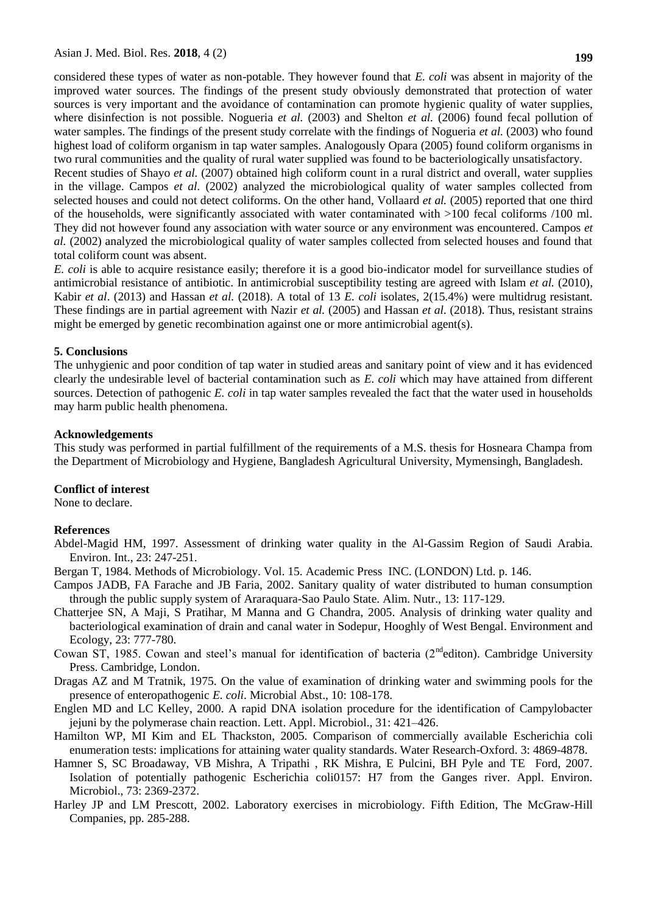considered these types of water as non-potable. They however found that *E. coli* was absent in majority of the improved water sources. The findings of the present study obviously demonstrated that protection of water sources is very important and the avoidance of contamination can promote hygienic quality of water supplies, where disinfection is not possible. Nogueria *et al.* (2003) and Shelton *et al.* (2006) found fecal pollution of water samples. The findings of the present study correlate with the findings of Nogueria *et al.* (2003) who found highest load of coliform organism in tap water samples. Analogously Opara (2005) found coliform organisms in two rural communities and the quality of rural water supplied was found to be bacteriologically unsatisfactory.

Recent studies of Shayo *et al.* (2007) obtained high coliform count in a rural district and overall, water supplies in the village. Campos *et al.* (2002) analyzed the microbiological quality of water samples collected from selected houses and could not detect coliforms. On the other hand, Vollaard *et al.* (2005) reported that one third of the households, were significantly associated with water contaminated with >100 fecal coliforms /100 ml. They did not however found any association with water source or any environment was encountered. Campos *et al.* (2002) analyzed the microbiological quality of water samples collected from selected houses and found that total coliform count was absent.

*E. coli* is able to acquire resistance easily; therefore it is a good bio-indicator model for surveillance studies of antimicrobial resistance of antibiotic. In antimicrobial susceptibility testing are agreed with Islam *et al.* (2010), Kabir *et al*. (2013) and Hassan *et al.* (2018). A total of 13 *E. coli* isolates, 2(15.4%) were multidrug resistant. These findings are in partial agreement with Nazir *et al.* (2005) and Hassan *et al.* (2018). Thus, resistant strains might be emerged by genetic recombination against one or more antimicrobial agent(s).

## **5. Conclusions**

The unhygienic and poor condition of tap water in studied areas and sanitary point of view and it has evidenced clearly the undesirable level of bacterial contamination such as *E. coli* which may have attained from different sources. Detection of pathogenic *E. coli* in tap water samples revealed the fact that the water used in households may harm public health phenomena.

#### **Acknowledgements**

This study was performed in partial fulfillment of the requirements of a M.S. thesis for Hosneara Champa from the Department of Microbiology and Hygiene, Bangladesh Agricultural University, Mymensingh, Bangladesh.

#### **Conflict of interest**

None to declare.

#### **References**

- Abdel-Magid HM, 1997. Assessment of drinking water quality in the Al-Gassim Region of Saudi Arabia. Environ. Int., 23: 247-251.
- Bergan T, 1984. Methods of Microbiology. Vol. 15. Academic Press INC. (LONDON) Ltd. p. 146.
- Campos JADB, FA Farache and JB Faria, 2002. Sanitary quality of water distributed to human consumption through the public supply system of Araraquara-Sao Paulo State. Alim. Nutr., 13: 117-129.
- Chatterjee SN, A Maji, S Pratihar, M Manna and G Chandra, 2005. Analysis of drinking water quality and bacteriological examination of drain and canal water in Sodepur, Hooghly of West Bengal. Environment and Ecology, 23: 777-780.
- Cowan ST, 1985. Cowan and steel's manual for identification of bacteria (2<sup>nd</sup>editon). Cambridge University Press. Cambridge, London.
- Dragas AZ and M Tratnik, 1975. On the value of examination of drinking water and swimming pools for the presence of enteropathogenic *E. coli*. Microbial Abst., 10: 108-178.
- Englen MD and LC Kelley, 2000. A rapid DNA isolation procedure for the identification of Campylobacter jejuni by the polymerase chain reaction. Lett. Appl. Microbiol., 31: 421–426.
- Hamilton WP, MI Kim and EL Thackston, 2005. Comparison of commercially available Escherichia coli enumeration tests: implications for attaining water quality standards. Water Research-Oxford. 3: 4869-4878.
- Hamner S, SC Broadaway, VB Mishra, A Tripathi , RK Mishra, E Pulcini, BH Pyle and TE Ford, 2007. Isolation of potentially pathogenic Escherichia coli0157: H7 from the Ganges river. Appl. Environ. Microbiol., 73: 2369-2372.
- Harley JP and LM Prescott, 2002. Laboratory exercises in microbiology. Fifth Edition, The McGraw-Hill Companies, pp. 285-288.